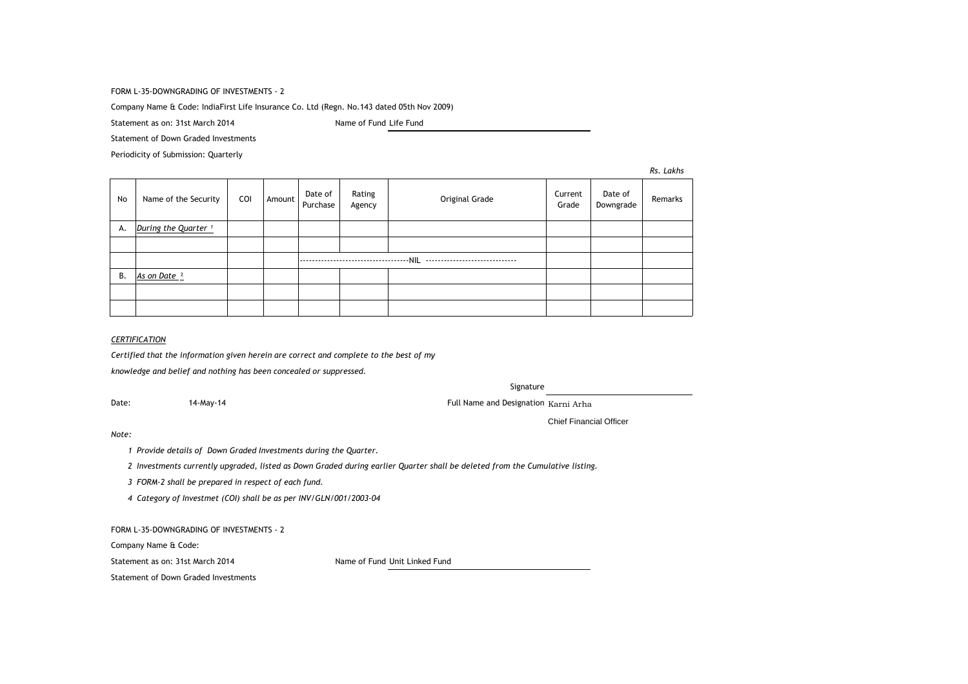### FORM L-35-DOWNGRADING OF INVESTMENTS - 2

Company Name & Code: IndiaFirst Life Insurance Co. Ltd (Regn. No.143 dated 05th Nov 2009)

Statement as on: 31st March 2014 Manuson Channel Mame of Fund Life Fund

Statement of Down Graded Investments

Periodicity of Submission: Quarterly

*Rs. Lakhs*

| No | Name of the Security            | COI | Amount | Date of<br>Purchase | Rating<br>Agency   | Original Grade | Current<br>Grade | Date of<br>Downgrade | Remarks |
|----|---------------------------------|-----|--------|---------------------|--------------------|----------------|------------------|----------------------|---------|
| А. | During the Quarter <sup>1</sup> |     |        |                     |                    |                |                  |                      |         |
|    |                                 |     |        |                     |                    |                |                  |                      |         |
|    |                                 |     |        |                     | ------------------ |                |                  |                      |         |
| В. | As on Date <sup>2</sup>         |     |        |                     |                    |                |                  |                      |         |
|    |                                 |     |        |                     |                    |                |                  |                      |         |
|    |                                 |     |        |                     |                    |                |                  |                      |         |

# *CERTIFICATION*

*Certified that the information given herein are correct and complete to the best of my*

*knowledge and belief and nothing has been concealed or suppressed.*

Signature

Date: 14-May-14 Full Name and Designation Karni Arha

Chief Financial Officer

#### *Note:*

*1 Provide details of Down Graded Investments during the Quarter.* 

*2 Investments currently upgraded, listed as Down Graded during earlier Quarter shall be deleted from the Cumulative listing.*

*3 FORM-2 shall be prepared in respect of each fund.*

*4 Category of Investmet (COI) shall be as per INV/GLN/001/2003-04*

FORM L-35-DOWNGRADING OF INVESTMENTS - 2

Company Name & Code:

Statement as on: 31st March 2014 Name of Fund Unit Linked Fund

Statement of Down Graded Investments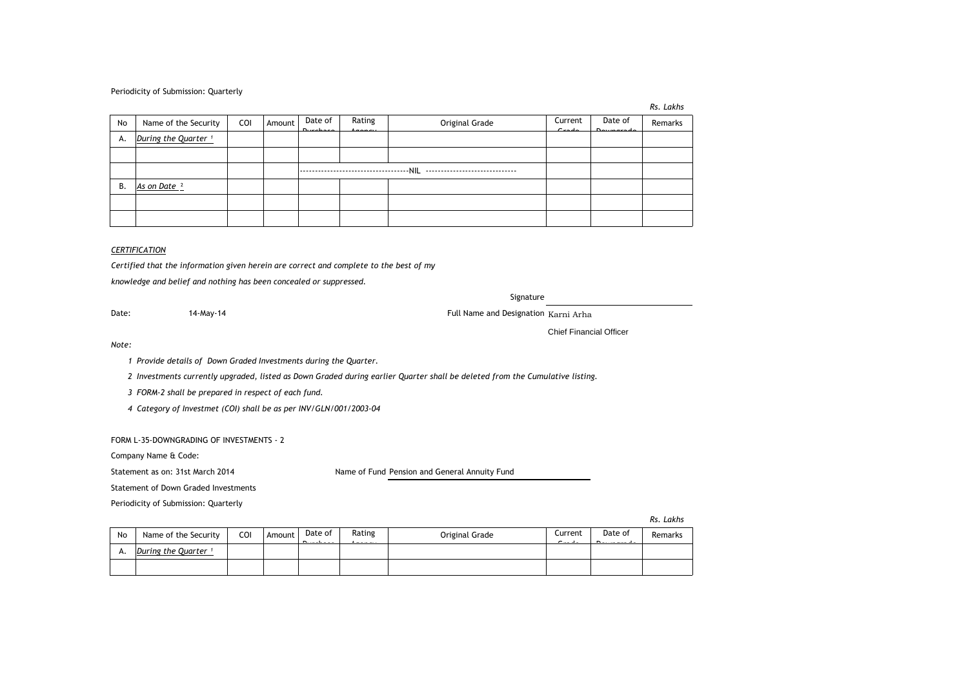#### Periodicity of Submission: Quarterly

| . . | Lakhs |
|-----|-------|
|-----|-------|

| No | Name of the Security            | COI | Amount | Date of | Rating                               | Original Grade | Current<br>$\sim$ $\sim$ | Date of | Remarks |
|----|---------------------------------|-----|--------|---------|--------------------------------------|----------------|--------------------------|---------|---------|
| А. | During the Quarter <sup>1</sup> |     |        |         |                                      |                |                          |         |         |
|    |                                 |     |        |         |                                      |                |                          |         |         |
|    |                                 |     |        |         | ------------------------------------ |                |                          |         |         |
| В. | As on Date 2                    |     |        |         |                                      |                |                          |         |         |
|    |                                 |     |        |         |                                      |                |                          |         |         |
|    |                                 |     |        |         |                                      |                |                          |         |         |

# *CERTIFICATION*

*Certified that the information given herein are correct and complete to the best of my knowledge and belief and nothing has been concealed or suppressed.*

Signature

Date: 14-May-14 14-May-14 Full Name and Designation Karni Arha

Chief Financial Officer

*Note:*

*1 Provide details of Down Graded Investments during the Quarter.* 

*2 Investments currently upgraded, listed as Down Graded during earlier Quarter shall be deleted from the Cumulative listing.*

*3 FORM-2 shall be prepared in respect of each fund.*

*4 Category of Investmet (COI) shall be as per INV/GLN/001/2003-04*

FORM L-35-DOWNGRADING OF INVESTMENTS - 2

Company Name & Code:

Statement as on: 31st March 2014 Name of Fund Pension and General Annuity Fund

Statement of Down Graded Investments

Periodicity of Submission: Quarterly

*Rs. Lakhs*

| No | Name of the Security | COI | Amount | Date of<br>Domain and | Rating<br>. | Original Grade | Current<br>$\sim$ | Date of<br>D 1 | Remarks |
|----|----------------------|-----|--------|-----------------------|-------------|----------------|-------------------|----------------|---------|
| А. | During the Quarter 1 |     |        |                       |             |                |                   |                |         |
|    |                      |     |        |                       |             |                |                   |                |         |